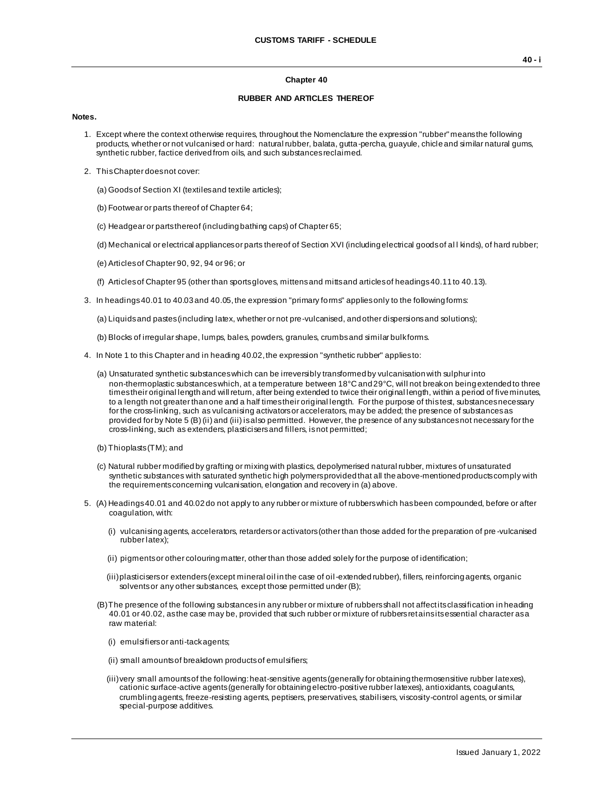### **Chapter 40**

## **RUBBER AND ARTICLES THEREOF**

#### **Notes.**

- 1. Except where the context otherwise requires, throughout the Nomenclature the expression "rubber" means the following products, whether or not vulcanised or hard: natural rubber, balata, gutta-percha, guayule, chicle and similar natural gums, synthetic rubber, factice derived from oils, and such substances reclaimed.
- 2. This Chapter does not cover:
	- (a) Goods of Section XI (textiles and textile articles);
	- (b) Footwear or parts thereof of Chapter 64;
	- (c) Headgear or parts thereof (including bathing caps) of Chapter 65;
	- (d) Mechanical or electrical appliances or parts thereof of Section XVI (including electrical goods of al l kinds), of hard rubber;
	- (e) Articles of Chapter 90, 92, 94 or 96; or
	- (f) Articles of Chapter 95 (other than sports gloves, mittens and mitts and articles of headings 40.11 to 40.13).
- 3. In headings 40.01 to 40.03 and 40.05, the expression "primary forms" applies only to the following forms:

(a) Liquids and pastes (including latex, whether or not pre-vulcanised, and other dispersions and solutions);

- (b) Blocks of irregular shape, lumps, bales, powders, granules, crumbs and similar bulk forms.
- 4. In Note 1 to this Chapter and in heading 40.02, the expression "synthetic rubber" applies to:
	- (a) Unsaturated synthetic substances which can be irreversibly transformed by vulcanisation with sulphur into non-thermoplastic substances which, at a temperature between 18°C and 29°C, will not break on being extended to three times their original length and will return, after being extended to twice their original length, within a period of five minutes, to a length not greater than one and a half times their original length. For the purpose of this test, substances necessary for the cross-linking, such as vulcanising activators or accelerators, may be added; the presence of substances as provided for by Note 5 (B) (ii) and (iii) is also permitted. However, the presence of any substances not necessary for the cross-linking, such as extenders, plasticisers and fillers, is not permitted;
	- (b) Thioplasts (TM); and
	- (c) Natural rubber modified by grafting or mixing with plastics, depolymerised natural rubber, mixtures of unsaturated synthetic substances with saturated synthetic high polymers provided that all the above-mentioned products comply with the requirements concerning vulcanisation, elongation and recovery in (a) above.
- 5. (A) Headings 40.01 and 40.02 do not apply to any rubber or mixture of rubbers which has been compounded, before or after coagulation, with:
	- (i) vulcanising agents, accelerators, retarders or activators (other than those added for the preparation of pre -vulcanised rubber latex);
	- (ii) pigments or other colouring matter, other than those added solely for the purpose of identification;
	- (iii)plasticisers or extenders (except mineral oil in the case of oil-extended rubber), fillers, reinforcing agents, organic solvents or any other substances, except those permitted under (B);
	- (B)The presence of the following substances in any rubber or mixture of rubbers shall not affect its classification in heading 40.01 or 40.02, as the case may be, provided that such rubber or mixture of rubbers retains its essential character as a raw material:
		- (i) emulsifiers or anti-tack agents;
		- (ii) small amounts of breakdown products of emulsifiers;
		- (iii)very small amounts of the following: heat-sensitive agents (generally for obtaining thermosensitive rubber latexes), cationic surface-active agents (generally for obtaining electro-positive rubber latexes), antioxidants, coagulants, crumbling agents, freeze-resisting agents, peptisers, preservatives, stabilisers, viscosity-control agents, or similar special-purpose additives.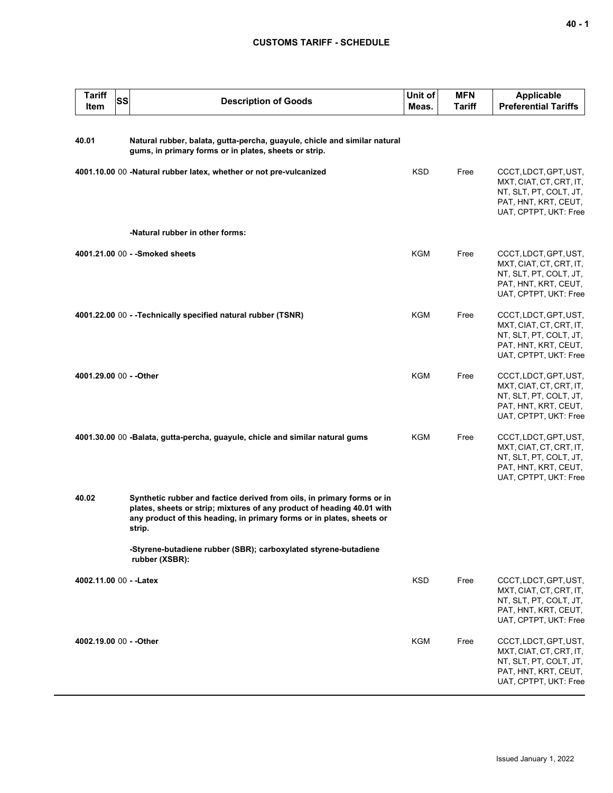| <b>Tariff</b><br>Item   | <b>SS</b><br><b>Description of Goods</b>                                                                                                                                                                                            | Unit of<br>Meas. | <b>MFN</b><br><b>Tariff</b> | <b>Applicable</b><br><b>Preferential Tariffs</b>                                                                            |
|-------------------------|-------------------------------------------------------------------------------------------------------------------------------------------------------------------------------------------------------------------------------------|------------------|-----------------------------|-----------------------------------------------------------------------------------------------------------------------------|
| 40.01                   | Natural rubber, balata, gutta-percha, guayule, chicle and similar natural<br>gums, in primary forms or in plates, sheets or strip.                                                                                                  |                  |                             |                                                                                                                             |
|                         | 4001.10.00 00 -Natural rubber latex, whether or not pre-vulcanized                                                                                                                                                                  | <b>KSD</b>       | Free                        | CCCT, LDCT, GPT, UST,<br>MXT, CIAT, CT, CRT, IT,<br>NT, SLT, PT, COLT, JT,<br>PAT, HNT, KRT, CEUT,<br>UAT, CPTPT, UKT: Free |
|                         | -Natural rubber in other forms:                                                                                                                                                                                                     |                  |                             |                                                                                                                             |
|                         | 4001.21.00 00 - - Smoked sheets                                                                                                                                                                                                     | <b>KGM</b>       | Free                        | CCCT, LDCT, GPT, UST,<br>MXT, CIAT, CT, CRT, IT,<br>NT, SLT, PT, COLT, JT,<br>PAT, HNT, KRT, CEUT,<br>UAT, CPTPT, UKT: Free |
|                         | 4001.22.00 00 - - Technically specified natural rubber (TSNR)                                                                                                                                                                       | <b>KGM</b>       | Free                        | CCCT, LDCT, GPT, UST,<br>MXT, CIAT, CT, CRT, IT,<br>NT, SLT, PT, COLT, JT,<br>PAT, HNT, KRT, CEUT,<br>UAT, CPTPT, UKT: Free |
| 4001.29.00 00 - - Other |                                                                                                                                                                                                                                     | KGM              | Free                        | CCCT, LDCT, GPT, UST,<br>MXT, CIAT, CT, CRT, IT,<br>NT, SLT, PT, COLT, JT,<br>PAT, HNT, KRT, CEUT,<br>UAT, CPTPT, UKT: Free |
|                         | 4001.30.00 00 -Balata, gutta-percha, guayule, chicle and similar natural gums                                                                                                                                                       | KGM              | Free                        | CCCT, LDCT, GPT, UST,<br>MXT, CIAT, CT, CRT, IT,<br>NT, SLT, PT, COLT, JT,<br>PAT, HNT, KRT, CEUT,<br>UAT, CPTPT, UKT: Free |
| 40.02                   | Synthetic rubber and factice derived from oils, in primary forms or in<br>plates, sheets or strip; mixtures of any product of heading 40.01 with<br>any product of this heading, in primary forms or in plates, sheets or<br>strip. |                  |                             |                                                                                                                             |
|                         | -Styrene-butadiene rubber (SBR); carboxylated styrene-butadiene<br>rubber (XSBR):                                                                                                                                                   |                  |                             |                                                                                                                             |
| 4002.11.00 00 - - Latex |                                                                                                                                                                                                                                     | <b>KSD</b>       | Free                        | CCCT, LDCT, GPT, UST,<br>MXT, CIAT, CT, CRT, IT,<br>NT, SLT, PT, COLT, JT,<br>PAT, HNT, KRT, CEUT,<br>UAT, CPTPT, UKT: Free |
| 4002.19.00 00 - - Other |                                                                                                                                                                                                                                     | KGM              | Free                        | CCCT, LDCT, GPT, UST,<br>MXT, CIAT, CT, CRT, IT,<br>NT, SLT, PT, COLT, JT,<br>PAT, HNT, KRT, CEUT,<br>UAT, CPTPT, UKT: Free |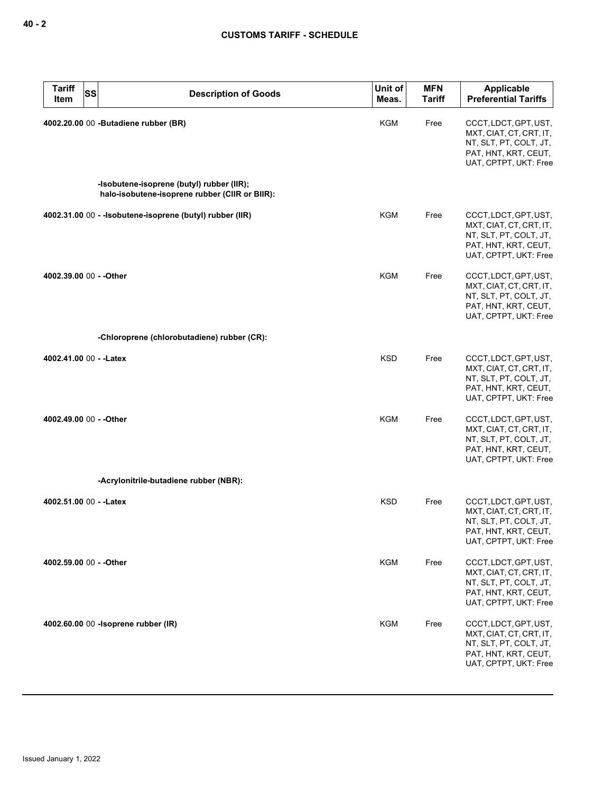| <b>Tariff</b><br><b>SS</b><br>Item | <b>Description of Goods</b>                                                                 | Unit of<br>Meas. | <b>MFN</b><br><b>Tariff</b> | Applicable<br><b>Preferential Tariffs</b>                                                                                   |
|------------------------------------|---------------------------------------------------------------------------------------------|------------------|-----------------------------|-----------------------------------------------------------------------------------------------------------------------------|
|                                    | 4002.20.00 00 - Butadiene rubber (BR)                                                       | KGM              | Free                        | CCCT, LDCT, GPT, UST,<br>MXT, CIAT, CT, CRT, IT,<br>NT, SLT, PT, COLT, JT,<br>PAT, HNT, KRT, CEUT,<br>UAT, CPTPT, UKT: Free |
|                                    | -Isobutene-isoprene (butyl) rubber (IIR);<br>halo-isobutene-isoprene rubber (CIIR or BIIR): |                  |                             |                                                                                                                             |
|                                    | 4002.31.00 00 - - Isobutene-isoprene (butyl) rubber (IIR)                                   | <b>KGM</b>       | Free                        | CCCT, LDCT, GPT, UST,<br>MXT, CIAT, CT, CRT, IT,<br>NT, SLT, PT, COLT, JT,<br>PAT, HNT, KRT, CEUT,<br>UAT, CPTPT, UKT: Free |
| 4002.39.00 00 - - Other            |                                                                                             | KGM              | Free                        | CCCT, LDCT, GPT, UST,<br>MXT, CIAT, CT, CRT, IT,<br>NT, SLT, PT, COLT, JT,<br>PAT, HNT, KRT, CEUT,<br>UAT, CPTPT, UKT: Free |
|                                    | -Chloroprene (chlorobutadiene) rubber (CR):                                                 |                  |                             |                                                                                                                             |
| 4002.41.00 00 - - Latex            |                                                                                             | <b>KSD</b>       | Free                        | CCCT, LDCT, GPT, UST,<br>MXT, CIAT, CT, CRT, IT,<br>NT, SLT, PT, COLT, JT,<br>PAT, HNT, KRT, CEUT,<br>UAT, CPTPT, UKT: Free |
| 4002.49.00 00 - - Other            |                                                                                             | <b>KGM</b>       | Free                        | CCCT, LDCT, GPT, UST,<br>MXT, CIAT, CT, CRT, IT,<br>NT, SLT, PT, COLT, JT,<br>PAT, HNT, KRT, CEUT,<br>UAT, CPTPT, UKT: Free |
|                                    | -Acrylonitrile-butadiene rubber (NBR):                                                      |                  |                             |                                                                                                                             |
| 4002.51.00 00 - - Latex            |                                                                                             | <b>KSD</b>       | Free                        | CCCT, LDCT, GPT, UST,<br>MXT, CIAT, CT, CRT, IT,<br>NT, SLT, PT, COLT, JT,<br>PAT, HNT, KRT, CEUT,<br>UAT, CPTPT, UKT: Free |
| 4002.59.00 00 - - Other            |                                                                                             | <b>KGM</b>       | Free                        | CCCT, LDCT, GPT, UST,<br>MXT, CIAT, CT, CRT, IT,<br>NT, SLT, PT, COLT, JT,<br>PAT, HNT, KRT, CEUT,<br>UAT, CPTPT, UKT: Free |
|                                    | 4002.60.00 00 -Isoprene rubber (IR)                                                         | <b>KGM</b>       | Free                        | CCCT, LDCT, GPT, UST,<br>MXT, CIAT, CT, CRT, IT,<br>NT, SLT, PT, COLT, JT,<br>PAT, HNT, KRT, CEUT,<br>UAT, CPTPT, UKT: Free |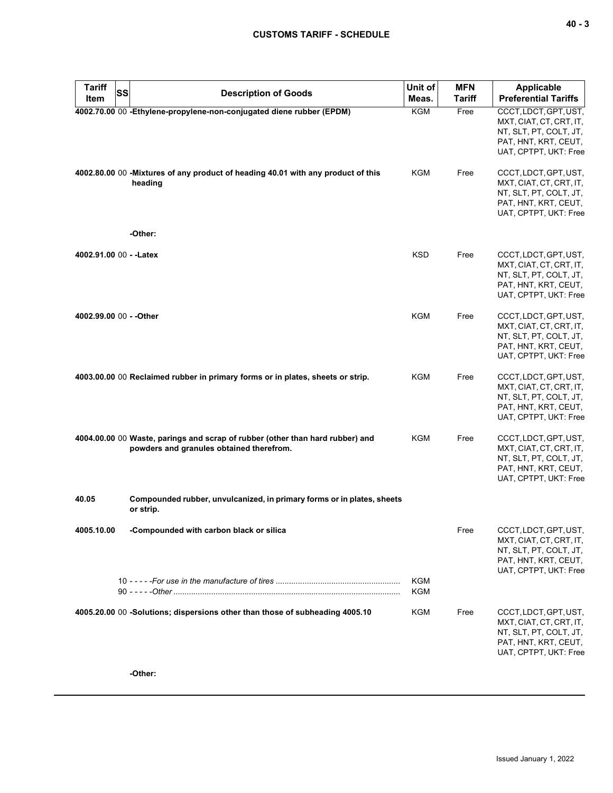| ., |  | v<br>۰. |
|----|--|---------|
|----|--|---------|

| <b>Tariff</b><br><b>SS</b> | <b>Description of Goods</b>                                                                                               | Unit of           | <b>MFN</b>    | Applicable                                                                                                                  |
|----------------------------|---------------------------------------------------------------------------------------------------------------------------|-------------------|---------------|-----------------------------------------------------------------------------------------------------------------------------|
| Item                       |                                                                                                                           | Meas.             | <b>Tariff</b> | <b>Preferential Tariffs</b>                                                                                                 |
|                            | 4002.70.00 00 - Ethylene-propylene-non-conjugated diene rubber (EPDM)                                                     | <b>KGM</b>        | Free          | CCCT, LDCT, GPT, UST,<br>MXT, CIAT, CT, CRT, IT,<br>NT, SLT, PT, COLT, JT,<br>PAT, HNT, KRT, CEUT,<br>UAT, CPTPT, UKT: Free |
|                            | 4002.80.00 00 -Mixtures of any product of heading 40.01 with any product of this<br>heading<br>-Other:                    | KGM               | Free          | CCCT, LDCT, GPT, UST,<br>MXT, CIAT, CT, CRT, IT,<br>NT, SLT, PT, COLT, JT,<br>PAT, HNT, KRT, CEUT,<br>UAT, CPTPT, UKT: Free |
| 4002.91.00 00 - - Latex    |                                                                                                                           | <b>KSD</b>        | Free          | CCCT, LDCT, GPT, UST,<br>MXT, CIAT, CT, CRT, IT,<br>NT, SLT, PT, COLT, JT,<br>PAT, HNT, KRT, CEUT,<br>UAT, CPTPT, UKT: Free |
| 4002.99.00 00 - - Other    |                                                                                                                           | <b>KGM</b>        | Free          | CCCT, LDCT, GPT, UST,<br>MXT, CIAT, CT, CRT, IT,<br>NT, SLT, PT, COLT, JT,<br>PAT, HNT, KRT, CEUT,<br>UAT, CPTPT, UKT: Free |
|                            | 4003.00.00 00 Reclaimed rubber in primary forms or in plates, sheets or strip.                                            | KGM               | Free          | CCCT, LDCT, GPT, UST,<br>MXT, CIAT, CT, CRT, IT,<br>NT, SLT, PT, COLT, JT,<br>PAT, HNT, KRT, CEUT,<br>UAT, CPTPT, UKT: Free |
|                            | 4004.00.00 00 Waste, parings and scrap of rubber (other than hard rubber) and<br>powders and granules obtained therefrom. | KGM               | Free          | CCCT, LDCT, GPT, UST,<br>MXT, CIAT, CT, CRT, IT,<br>NT, SLT, PT, COLT, JT,<br>PAT, HNT, KRT, CEUT,<br>UAT, CPTPT, UKT: Free |
| 40.05                      | Compounded rubber, unvulcanized, in primary forms or in plates, sheets<br>or strip.                                       |                   |               |                                                                                                                             |
| 4005.10.00                 | -Compounded with carbon black or silica                                                                                   |                   | Free          | CCCT, LDCT, GPT, UST,<br>MXT, CIAT, CT, CRT, IT,<br>NT, SLT, PT, COLT, JT,<br>PAT, HNT, KRT, CEUT,<br>UAT, CPTPT, UKT: Free |
|                            |                                                                                                                           | <b>KGM</b><br>KGM |               |                                                                                                                             |
|                            | 4005.20.00 00 -Solutions; dispersions other than those of subheading 4005.10                                              | <b>KGM</b>        | Free          | CCCT, LDCT, GPT, UST,<br>MXT, CIAT, CT, CRT, IT,<br>NT, SLT, PT, COLT, JT,<br>PAT, HNT, KRT, CEUT,<br>UAT, CPTPT, UKT: Free |
|                            | -Other:                                                                                                                   |                   |               |                                                                                                                             |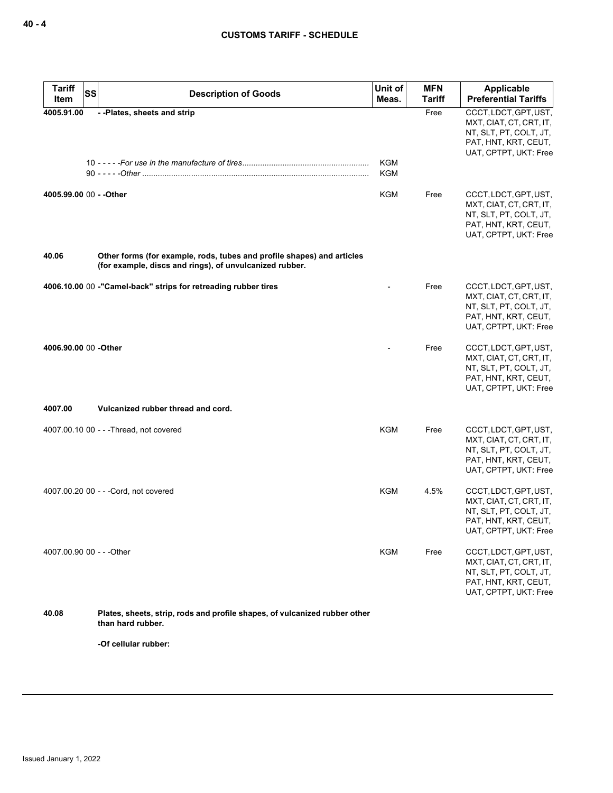| <b>Tariff</b>           | <b>SS</b><br><b>Description of Goods</b>                                                                                          | Unit of                  | <b>MFN</b>    | Applicable                                                                                                                  |
|-------------------------|-----------------------------------------------------------------------------------------------------------------------------------|--------------------------|---------------|-----------------------------------------------------------------------------------------------------------------------------|
| Item                    |                                                                                                                                   | Meas.                    | <b>Tariff</b> | <b>Preferential Tariffs</b>                                                                                                 |
| 4005.91.00              | --Plates, sheets and strip                                                                                                        | <b>KGM</b><br><b>KGM</b> | Free          | CCCT, LDCT, GPT, UST,<br>MXT, CIAT, CT, CRT, IT,<br>NT, SLT, PT, COLT, JT,<br>PAT, HNT, KRT, CEUT,<br>UAT, CPTPT, UKT: Free |
| 4005.99.00 00 - - Other |                                                                                                                                   | <b>KGM</b>               | Free          | CCCT, LDCT, GPT, UST,<br>MXT, CIAT, CT, CRT, IT,<br>NT, SLT, PT, COLT, JT,<br>PAT, HNT, KRT, CEUT,<br>UAT, CPTPT, UKT: Free |
| 40.06                   | Other forms (for example, rods, tubes and profile shapes) and articles<br>(for example, discs and rings), of unvulcanized rubber. |                          |               |                                                                                                                             |
|                         | 4006.10.00 00 -"Camel-back" strips for retreading rubber tires                                                                    |                          | Free          | CCCT, LDCT, GPT, UST,<br>MXT, CIAT, CT, CRT, IT,<br>NT, SLT, PT, COLT, JT,<br>PAT, HNT, KRT, CEUT,<br>UAT, CPTPT, UKT: Free |
| 4006.90.00 00 -Other    |                                                                                                                                   |                          | Free          | CCCT, LDCT, GPT, UST,<br>MXT, CIAT, CT, CRT, IT,<br>NT, SLT, PT, COLT, JT,<br>PAT, HNT, KRT, CEUT,<br>UAT, CPTPT, UKT: Free |
| 4007.00                 | Vulcanized rubber thread and cord.                                                                                                |                          |               |                                                                                                                             |
|                         | 4007.00.10 00 - - - Thread, not covered                                                                                           | KGM                      | Free          | CCCT, LDCT, GPT, UST,<br>MXT, CIAT, CT, CRT, IT,<br>NT, SLT, PT, COLT, JT,<br>PAT, HNT, KRT, CEUT,<br>UAT, CPTPT, UKT: Free |
|                         | 4007.00.20 00 - - - Cord, not covered                                                                                             | <b>KGM</b>               | 4.5%          | CCCT, LDCT, GPT, UST,<br>MXT, CIAT, CT, CRT, IT,<br>NT, SLT, PT, COLT, JT,<br>PAT, HNT, KRT, CEUT,<br>UAT, CPTPT, UKT: Free |
|                         | 4007.00.90 00 - - - Other                                                                                                         | KGM                      | Free          | CCCT, LDCT, GPT, UST,<br>MXT, CIAT, CT, CRT, IT,<br>NT, SLT, PT, COLT, JT,<br>PAT, HNT, KRT, CEUT,<br>UAT. CPTPT. UKT: Free |
| 40.08                   | Plates, sheets, strip, rods and profile shapes, of vulcanized rubber other<br>than hard rubber.                                   |                          |               |                                                                                                                             |
|                         | -Of cellular rubber:                                                                                                              |                          |               |                                                                                                                             |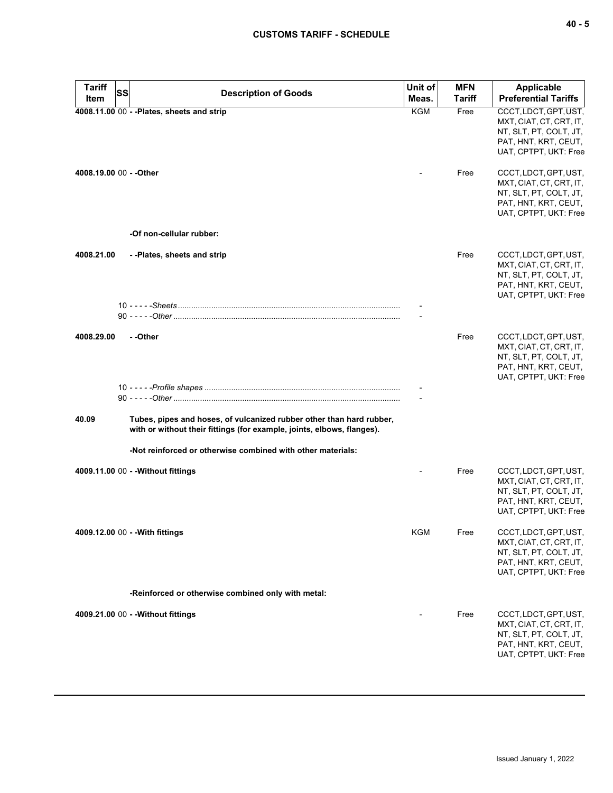| <b>Tariff</b><br>Item   | <b>SS</b> | <b>Description of Goods</b>                                                                                                                    | Unit of<br>Meas. | <b>MFN</b><br>Tariff | <b>Applicable</b><br><b>Preferential Tariffs</b>                                                                            |
|-------------------------|-----------|------------------------------------------------------------------------------------------------------------------------------------------------|------------------|----------------------|-----------------------------------------------------------------------------------------------------------------------------|
|                         |           | 4008.11.00 00 - - Plates, sheets and strip                                                                                                     | <b>KGM</b>       | Free                 | CCCT, LDCT, GPT, UST,<br>MXT, CIAT, CT, CRT, IT,<br>NT, SLT, PT, COLT, JT,<br>PAT, HNT, KRT, CEUT,<br>UAT, CPTPT, UKT: Free |
| 4008.19.00 00 - - Other |           |                                                                                                                                                |                  | Free                 | CCCT, LDCT, GPT, UST,<br>MXT, CIAT, CT, CRT, IT,<br>NT, SLT, PT, COLT, JT,<br>PAT, HNT, KRT, CEUT,<br>UAT, CPTPT, UKT: Free |
|                         |           | -Of non-cellular rubber:                                                                                                                       |                  |                      |                                                                                                                             |
| 4008.21.00              |           | --Plates, sheets and strip                                                                                                                     |                  | Free                 | CCCT, LDCT, GPT, UST,<br>MXT, CIAT, CT, CRT, IT,<br>NT, SLT, PT, COLT, JT,<br>PAT, HNT, KRT, CEUT,<br>UAT, CPTPT, UKT: Free |
|                         |           |                                                                                                                                                |                  |                      |                                                                                                                             |
| 4008.29.00              |           | - -Other                                                                                                                                       |                  | Free                 | CCCT, LDCT, GPT, UST,<br>MXT, CIAT, CT, CRT, IT,<br>NT, SLT, PT, COLT, JT,<br>PAT, HNT, KRT, CEUT,<br>UAT, CPTPT, UKT: Free |
|                         |           |                                                                                                                                                |                  |                      |                                                                                                                             |
| 40.09                   |           | Tubes, pipes and hoses, of vulcanized rubber other than hard rubber,<br>with or without their fittings (for example, joints, elbows, flanges). |                  |                      |                                                                                                                             |
|                         |           | -Not reinforced or otherwise combined with other materials:                                                                                    |                  |                      |                                                                                                                             |
|                         |           | 4009.11.00 00 - - Without fittings                                                                                                             |                  | Free                 | CCCT, LDCT, GPT, UST,<br>MXT, CIAT, CT, CRT, IT,<br>NT, SLT, PT, COLT, JT,<br>PAT, HNT, KRT, CEUT,<br>UAT, CPTPT, UKT: Free |
|                         |           | 4009.12.00 00 - - With fittings                                                                                                                | KGM              | Free                 | CCCT, LDCT, GPT, UST,<br>MXT, CIAT, CT, CRT, IT,<br>NT, SLT, PT, COLT, JT,<br>PAT, HNT, KRT, CEUT,<br>UAT, CPTPT, UKT: Free |
|                         |           | -Reinforced or otherwise combined only with metal:                                                                                             |                  |                      |                                                                                                                             |
|                         |           | 4009.21.00 00 - - Without fittings                                                                                                             |                  | Free                 | CCCT, LDCT, GPT, UST,<br>MXT, CIAT, CT, CRT, IT,<br>NT, SLT, PT, COLT, JT,<br>PAT, HNT, KRT, CEUT,<br>UAT, CPTPT, UKT: Free |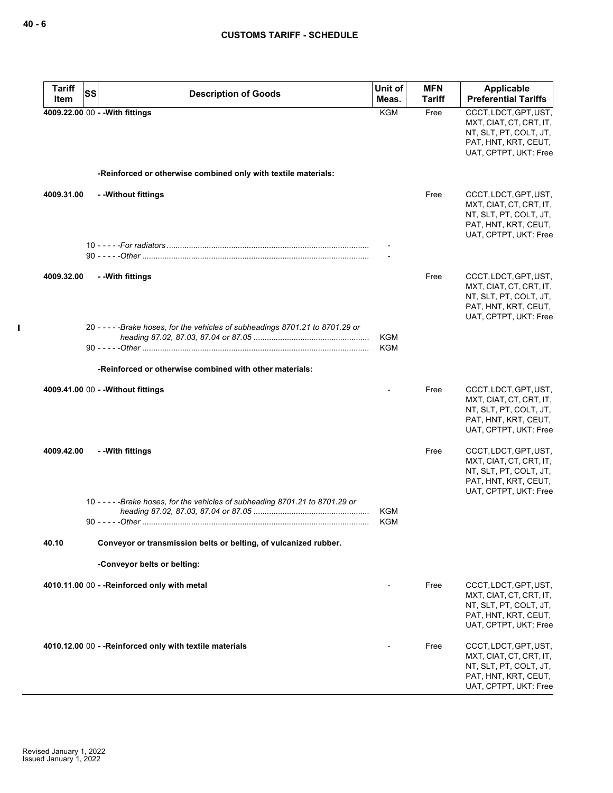$\mathbf{I}$ 

| <b>Tariff</b><br>Item | SS<br><b>Description of Goods</b>                                               | Unit of<br>Meas.         | <b>MFN</b><br>Tariff | Applicable<br><b>Preferential Tariffs</b>                                                                                   |
|-----------------------|---------------------------------------------------------------------------------|--------------------------|----------------------|-----------------------------------------------------------------------------------------------------------------------------|
|                       | 4009.22.00 00 - - With fittings                                                 | <b>KGM</b>               | Free                 | CCCT, LDCT, GPT, UST,<br>MXT, CIAT, CT, CRT, IT,                                                                            |
|                       |                                                                                 |                          |                      | NT, SLT, PT, COLT, JT,<br>PAT, HNT, KRT, CEUT,<br>UAT, CPTPT, UKT: Free                                                     |
|                       | -Reinforced or otherwise combined only with textile materials:                  |                          |                      |                                                                                                                             |
| 4009.31.00            | - - Without fittings                                                            |                          | Free                 | CCCT, LDCT, GPT, UST,<br>MXT, CIAT, CT, CRT, IT,<br>NT, SLT, PT, COLT, JT,<br>PAT, HNT, KRT, CEUT,<br>UAT, CPTPT, UKT: Free |
|                       |                                                                                 |                          |                      |                                                                                                                             |
| 4009.32.00            | - - With fittings                                                               |                          | Free                 | CCCT, LDCT, GPT, UST,<br>MXT, CIAT, CT, CRT, IT,<br>NT, SLT, PT, COLT, JT,<br>PAT, HNT, KRT, CEUT,<br>UAT, CPTPT, UKT: Free |
|                       | 20 - - - - - Brake hoses, for the vehicles of subheadings 8701.21 to 8701.29 or | <b>KGM</b><br><b>KGM</b> |                      |                                                                                                                             |
|                       | -Reinforced or otherwise combined with other materials:                         |                          |                      |                                                                                                                             |
|                       | 4009.41.00 00 - - Without fittings                                              |                          | Free                 | CCCT, LDCT, GPT, UST,<br>MXT, CIAT, CT, CRT, IT,<br>NT, SLT, PT, COLT, JT,<br>PAT, HNT, KRT, CEUT,<br>UAT, CPTPT, UKT: Free |
| 4009.42.00            | - - With fittings                                                               |                          | Free                 | CCCT, LDCT, GPT, UST,<br>MXT, CIAT, CT, CRT, IT,<br>NT, SLT, PT, COLT, JT,<br>PAT, HNT, KRT, CEUT,<br>UAT, CPTPT, UKT: Free |
|                       | 10 - - - - - Brake hoses, for the vehicles of subheading 8701.21 to 8701.29 or  | <b>KGM</b><br><b>KGM</b> |                      |                                                                                                                             |
| 40.10                 | Conveyor or transmission belts or belting, of vulcanized rubber.                |                          |                      |                                                                                                                             |
|                       | -Conveyor belts or belting:                                                     |                          |                      |                                                                                                                             |
|                       | 4010.11.00 00 - - Reinforced only with metal                                    |                          | Free                 | CCCT, LDCT, GPT, UST,<br>MXT, CIAT, CT, CRT, IT,<br>NT, SLT, PT, COLT, JT,<br>PAT, HNT, KRT, CEUT,<br>UAT, CPTPT, UKT: Free |
|                       | 4010.12.00 00 - - Reinforced only with textile materials                        |                          | Free                 | CCCT, LDCT, GPT, UST,<br>MXT, CIAT, CT, CRT, IT,<br>NT, SLT, PT, COLT, JT,<br>PAT, HNT, KRT, CEUT,<br>UAT, CPTPT, UKT: Free |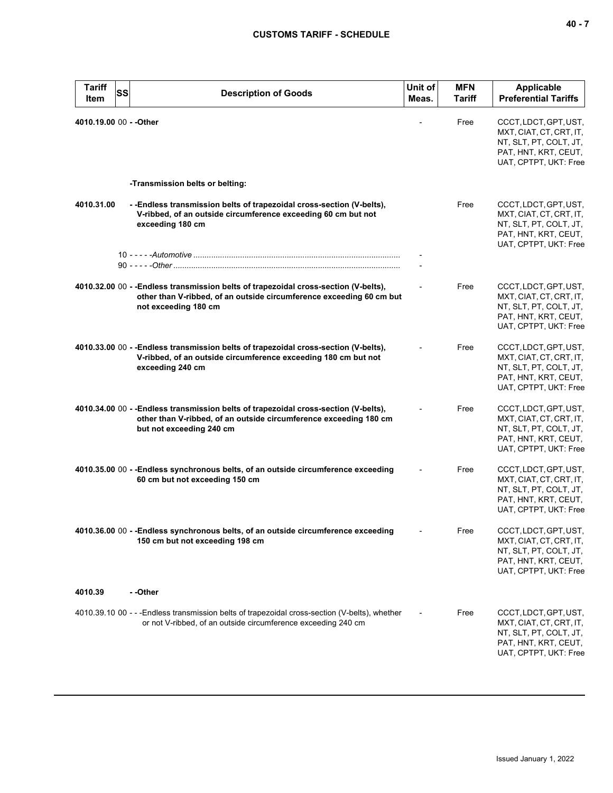| <b>Tariff</b><br>SS<br>Item | <b>Description of Goods</b>                                                                                                                                                           | Unit of<br>Meas. | <b>MFN</b><br><b>Tariff</b> | <b>Applicable</b><br><b>Preferential Tariffs</b>                                                                            |
|-----------------------------|---------------------------------------------------------------------------------------------------------------------------------------------------------------------------------------|------------------|-----------------------------|-----------------------------------------------------------------------------------------------------------------------------|
| 4010.19.00 00 - - Other     |                                                                                                                                                                                       |                  | Free                        | CCCT, LDCT, GPT, UST,<br>MXT, CIAT, CT, CRT, IT,<br>NT, SLT, PT, COLT, JT,<br>PAT, HNT, KRT, CEUT,<br>UAT, CPTPT, UKT: Free |
|                             | -Transmission belts or belting:                                                                                                                                                       |                  |                             |                                                                                                                             |
| 4010.31.00                  | - -Endless transmission belts of trapezoidal cross-section (V-belts),<br>V-ribbed, of an outside circumference exceeding 60 cm but not<br>exceeding 180 cm                            |                  | Free                        | CCCT, LDCT, GPT, UST,<br>MXT, CIAT, CT, CRT, IT,<br>NT, SLT, PT, COLT, JT,<br>PAT, HNT, KRT, CEUT,<br>UAT, CPTPT, UKT: Free |
|                             |                                                                                                                                                                                       |                  |                             |                                                                                                                             |
|                             | 4010.32.00 00 - -Endless transmission belts of trapezoidal cross-section (V-belts),<br>other than V-ribbed, of an outside circumference exceeding 60 cm but<br>not exceeding 180 cm   |                  | Free                        | CCCT, LDCT, GPT, UST,<br>MXT, CIAT, CT, CRT, IT,<br>NT, SLT, PT, COLT, JT,<br>PAT, HNT, KRT, CEUT,<br>UAT, CPTPT, UKT: Free |
|                             | 4010.33.00 00 - -Endless transmission belts of trapezoidal cross-section (V-belts),<br>V-ribbed, of an outside circumference exceeding 180 cm but not<br>exceeding 240 cm             |                  | Free                        | CCCT, LDCT, GPT, UST,<br>MXT, CIAT, CT, CRT, IT,<br>NT, SLT, PT, COLT, JT,<br>PAT, HNT, KRT, CEUT,<br>UAT, CPTPT, UKT: Free |
|                             | 4010.34.00 00 - - Endless transmission belts of trapezoidal cross-section (V-belts),<br>other than V-ribbed, of an outside circumference exceeding 180 cm<br>but not exceeding 240 cm |                  | Free                        | CCCT, LDCT, GPT, UST,<br>MXT, CIAT, CT, CRT, IT,<br>NT, SLT, PT, COLT, JT,<br>PAT, HNT, KRT, CEUT,<br>UAT, CPTPT, UKT: Free |
|                             | 4010.35.00 00 - - Endless synchronous belts, of an outside circumference exceeding<br>60 cm but not exceeding 150 cm                                                                  |                  | Free                        | CCCT, LDCT, GPT, UST,<br>MXT, CIAT, CT, CRT, IT,<br>NT, SLT, PT, COLT, JT,<br>PAT, HNT, KRT, CEUT,<br>UAT, CPTPT, UKT: Free |
|                             | 4010.36.00 00 - -Endless synchronous belts, of an outside circumference exceeding<br>150 cm but not exceeding 198 cm                                                                  |                  | Free                        | CCCT, LDCT, GPT, UST,<br>MXT, CIAT, CT, CRT, IT,<br>NT, SLT, PT, COLT, JT,<br>PAT, HNT, KRT, CEUT,<br>UAT, CPTPT, UKT: Free |
| 4010.39                     | - -Other                                                                                                                                                                              |                  |                             |                                                                                                                             |
|                             | 4010.39.10 00 - - -Endless transmission belts of trapezoidal cross-section (V-belts), whether<br>or not V-ribbed, of an outside circumference exceeding 240 cm                        |                  | Free                        | CCCT, LDCT, GPT, UST,<br>MXT, CIAT, CT, CRT, IT,<br>NT, SLT, PT, COLT, JT,<br>PAT, HNT, KRT, CEUT,<br>UAT, CPTPT, UKT: Free |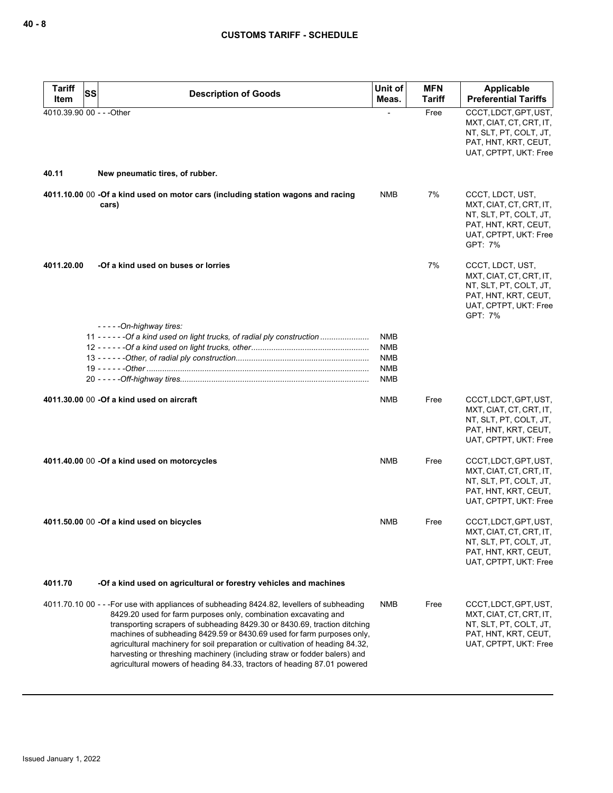| <b>Tariff</b><br><b>SS</b> | <b>Description of Goods</b>                                                                                                                                                                                                                                                                                                                                                                                                                                                                                                                                | Unit of                                                            | <b>MFN</b>    | Applicable                                                                                                                        |
|----------------------------|------------------------------------------------------------------------------------------------------------------------------------------------------------------------------------------------------------------------------------------------------------------------------------------------------------------------------------------------------------------------------------------------------------------------------------------------------------------------------------------------------------------------------------------------------------|--------------------------------------------------------------------|---------------|-----------------------------------------------------------------------------------------------------------------------------------|
| Item                       |                                                                                                                                                                                                                                                                                                                                                                                                                                                                                                                                                            | Meas.                                                              | <b>Tariff</b> | <b>Preferential Tariffs</b>                                                                                                       |
| 4010.39.90 00 - - - Other  |                                                                                                                                                                                                                                                                                                                                                                                                                                                                                                                                                            |                                                                    | Free          | CCCT, LDCT, GPT, UST,<br>MXT, CIAT, CT, CRT, IT,<br>NT, SLT, PT, COLT, JT,<br>PAT, HNT, KRT, CEUT,<br>UAT, CPTPT, UKT: Free       |
| 40.11                      | New pneumatic tires, of rubber.                                                                                                                                                                                                                                                                                                                                                                                                                                                                                                                            |                                                                    |               |                                                                                                                                   |
|                            | 4011.10.00 00 -Of a kind used on motor cars (including station wagons and racing<br>cars)                                                                                                                                                                                                                                                                                                                                                                                                                                                                  | <b>NMB</b>                                                         | 7%            | CCCT, LDCT, UST,<br>MXT, CIAT, CT, CRT, IT,<br>NT, SLT, PT, COLT, JT,<br>PAT, HNT, KRT, CEUT,<br>UAT, CPTPT, UKT: Free<br>GPT: 7% |
| 4011.20.00                 | -Of a kind used on buses or lorries                                                                                                                                                                                                                                                                                                                                                                                                                                                                                                                        |                                                                    | 7%            | CCCT, LDCT, UST,<br>MXT, CIAT, CT, CRT, IT,<br>NT, SLT, PT, COLT, JT,<br>PAT, HNT, KRT, CEUT,<br>UAT, CPTPT, UKT: Free<br>GPT: 7% |
|                            | -----On-highway tires:<br>11 - - - - - - Of a kind used on light trucks, of radial ply construction                                                                                                                                                                                                                                                                                                                                                                                                                                                        | <b>NMB</b><br><b>NMB</b><br><b>NMB</b><br><b>NMB</b><br><b>NMB</b> |               |                                                                                                                                   |
|                            | 4011.30.00 00 - Of a kind used on aircraft                                                                                                                                                                                                                                                                                                                                                                                                                                                                                                                 | <b>NMB</b>                                                         | Free          | CCCT, LDCT, GPT, UST,<br>MXT, CIAT, CT, CRT, IT,<br>NT, SLT, PT, COLT, JT,<br>PAT, HNT, KRT, CEUT,<br>UAT, CPTPT, UKT: Free       |
|                            | 4011.40.00 00 -Of a kind used on motorcycles                                                                                                                                                                                                                                                                                                                                                                                                                                                                                                               | <b>NMB</b>                                                         | Free          | CCCT, LDCT, GPT, UST,<br>MXT, CIAT, CT, CRT, IT,<br>NT, SLT, PT, COLT, JT,<br>PAT, HNT, KRT, CEUT,<br>UAT, CPTPT, UKT: Free       |
|                            | 4011.50.00 00 -Of a kind used on bicycles                                                                                                                                                                                                                                                                                                                                                                                                                                                                                                                  | NMB                                                                | Free          | CCCT, LDCT, GPT, UST,<br>MXT, CIAT, CT, CRT, IT,<br>NT, SLT, PT, COLT, JT,<br>PAT, HNT, KRT, CEUT,<br>UAT, CPTPT, UKT: Free       |
| 4011.70                    | -Of a kind used on agricultural or forestry vehicles and machines                                                                                                                                                                                                                                                                                                                                                                                                                                                                                          |                                                                    |               |                                                                                                                                   |
|                            | 4011.70.10 00 - - -For use with appliances of subheading 8424.82, levellers of subheading<br>8429.20 used for farm purposes only, combination excavating and<br>transporting scrapers of subheading 8429.30 or 8430.69, traction ditching<br>machines of subheading 8429.59 or 8430.69 used for farm purposes only,<br>agricultural machinery for soil preparation or cultivation of heading 84.32,<br>harvesting or threshing machinery (including straw or fodder balers) and<br>agricultural mowers of heading 84.33, tractors of heading 87.01 powered | NMB                                                                | Free          | CCCT, LDCT, GPT, UST,<br>MXT, CIAT, CT, CRT, IT,<br>NT, SLT, PT, COLT, JT,<br>PAT, HNT, KRT, CEUT,<br>UAT, CPTPT, UKT: Free       |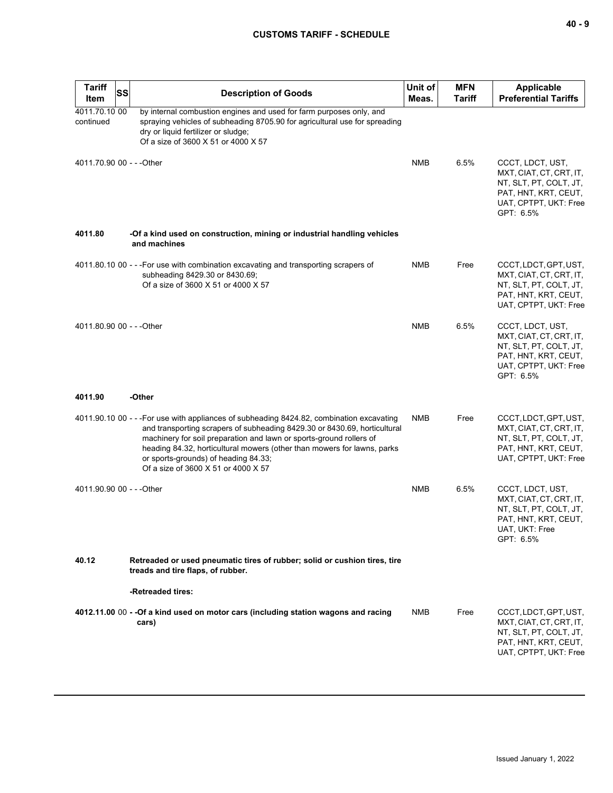| <b>Tariff</b><br>Item      | SS<br><b>Description of Goods</b>                                                                                                                                                                                                                                                                                                                                                                       | Unit of<br>Meas. | <b>MFN</b><br><b>Tariff</b> | <b>Applicable</b><br><b>Preferential Tariffs</b>                                                                                    |
|----------------------------|---------------------------------------------------------------------------------------------------------------------------------------------------------------------------------------------------------------------------------------------------------------------------------------------------------------------------------------------------------------------------------------------------------|------------------|-----------------------------|-------------------------------------------------------------------------------------------------------------------------------------|
| 4011.70.10 00<br>continued | by internal combustion engines and used for farm purposes only, and<br>spraying vehicles of subheading 8705.90 for agricultural use for spreading<br>dry or liquid fertilizer or sludge;<br>Of a size of 3600 X 51 or 4000 X 57                                                                                                                                                                         |                  |                             |                                                                                                                                     |
| 4011.70.90 00 - - - Other  |                                                                                                                                                                                                                                                                                                                                                                                                         | <b>NMB</b>       | 6.5%                        | CCCT, LDCT, UST,<br>MXT, CIAT, CT, CRT, IT,<br>NT, SLT, PT, COLT, JT,<br>PAT, HNT, KRT, CEUT,<br>UAT, CPTPT, UKT: Free<br>GPT: 6.5% |
| 4011.80                    | -Of a kind used on construction, mining or industrial handling vehicles<br>and machines                                                                                                                                                                                                                                                                                                                 |                  |                             |                                                                                                                                     |
|                            | 4011.80.10 00 - - -For use with combination excavating and transporting scrapers of<br>subheading 8429.30 or 8430.69;<br>Of a size of 3600 X 51 or 4000 X 57                                                                                                                                                                                                                                            | NMB              | Free                        | CCCT, LDCT, GPT, UST,<br>MXT, CIAT, CT, CRT, IT,<br>NT, SLT, PT, COLT, JT,<br>PAT, HNT, KRT, CEUT,<br>UAT, CPTPT, UKT: Free         |
| 4011.80.90 00 - - - Other  |                                                                                                                                                                                                                                                                                                                                                                                                         | <b>NMB</b>       | 6.5%                        | CCCT, LDCT, UST,<br>MXT, CIAT, CT, CRT, IT,<br>NT, SLT, PT, COLT, JT,<br>PAT, HNT, KRT, CEUT,<br>UAT, CPTPT, UKT: Free<br>GPT: 6.5% |
| 4011.90                    | -Other                                                                                                                                                                                                                                                                                                                                                                                                  |                  |                             |                                                                                                                                     |
|                            | 4011.90.10 00 - - - For use with appliances of subheading 8424.82, combination excavating<br>and transporting scrapers of subheading 8429.30 or 8430.69, horticultural<br>machinery for soil preparation and lawn or sports-ground rollers of<br>heading 84.32, horticultural mowers (other than mowers for lawns, parks<br>or sports-grounds) of heading 84.33;<br>Of a size of 3600 X 51 or 4000 X 57 | <b>NMB</b>       | Free                        | CCCT, LDCT, GPT, UST,<br>MXT, CIAT, CT, CRT, IT,<br>NT, SLT, PT, COLT, JT,<br>PAT, HNT, KRT, CEUT,<br>UAT, CPTPT, UKT: Free         |
| 4011.90.90 00 - - - Other  |                                                                                                                                                                                                                                                                                                                                                                                                         | <b>NMB</b>       | 6.5%                        | CCCT, LDCT, UST,<br>MXT, CIAT, CT, CRT, IT,<br>NT, SLT, PT, COLT, JT,<br>PAT, HNT, KRT, CEUT,<br>UAT, UKT: Free<br>GPT: 6.5%        |
| 40.12                      | Retreaded or used pneumatic tires of rubber; solid or cushion tires, tire<br>treads and tire flaps, of rubber.                                                                                                                                                                                                                                                                                          |                  |                             |                                                                                                                                     |
|                            | -Retreaded tires:                                                                                                                                                                                                                                                                                                                                                                                       |                  |                             |                                                                                                                                     |
|                            | 4012.11.00 00 - -Of a kind used on motor cars (including station wagons and racing<br>cars)                                                                                                                                                                                                                                                                                                             | <b>NMB</b>       | Free                        | CCCT, LDCT, GPT, UST,<br>MXT, CIAT, CT, CRT, IT,<br>NT, SLT, PT, COLT, JT,<br>PAT, HNT, KRT, CEUT,<br>UAT, CPTPT, UKT: Free         |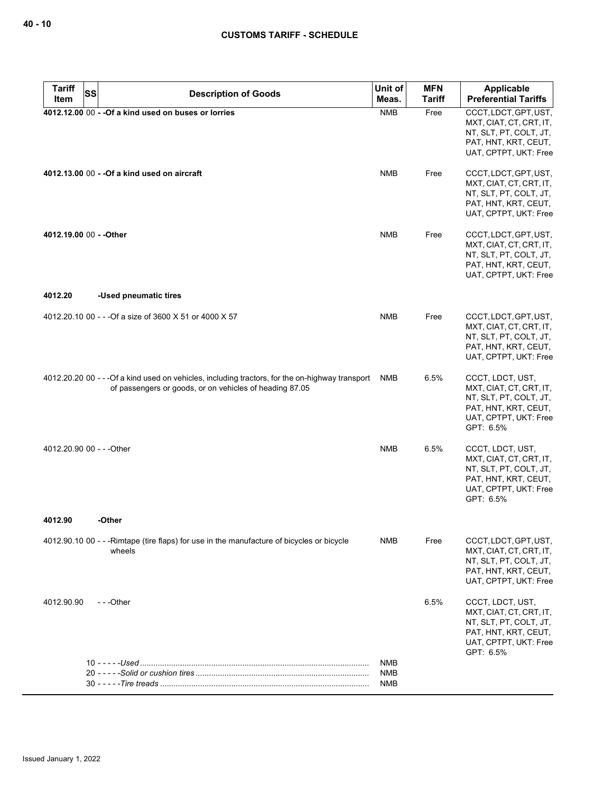| <b>Tariff</b><br>SS<br>Item | <b>Description of Goods</b>                                                                                                                                 | Unit of<br>Meas. | <b>MFN</b><br>Tariff | <b>Applicable</b><br><b>Preferential Tariffs</b>                                                                                    |
|-----------------------------|-------------------------------------------------------------------------------------------------------------------------------------------------------------|------------------|----------------------|-------------------------------------------------------------------------------------------------------------------------------------|
|                             | 4012.12.00 00 - - Of a kind used on buses or lorries                                                                                                        | <b>NMB</b>       | Free                 | CCCT, LDCT, GPT, UST,<br>MXT, CIAT, CT, CRT, IT,<br>NT, SLT, PT, COLT, JT,<br>PAT, HNT, KRT, CEUT,<br>UAT, CPTPT, UKT: Free         |
|                             | 4012.13.00 00 - - Of a kind used on aircraft                                                                                                                | <b>NMB</b>       | Free                 | CCCT, LDCT, GPT, UST,<br>MXT, CIAT, CT, CRT, IT,<br>NT, SLT, PT, COLT, JT,<br>PAT, HNT, KRT, CEUT,<br>UAT, CPTPT, UKT: Free         |
| 4012.19.00 00 - - Other     |                                                                                                                                                             | <b>NMB</b>       | Free                 | CCCT, LDCT, GPT, UST,<br>MXT, CIAT, CT, CRT, IT,<br>NT, SLT, PT, COLT, JT,<br>PAT, HNT, KRT, CEUT,<br>UAT, CPTPT, UKT: Free         |
| 4012.20                     | -Used pneumatic tires                                                                                                                                       |                  |                      |                                                                                                                                     |
|                             | 4012.20.10 00 - - - Of a size of 3600 X 51 or 4000 X 57                                                                                                     | <b>NMB</b>       | Free                 | CCCT, LDCT, GPT, UST,<br>MXT, CIAT, CT, CRT, IT,<br>NT, SLT, PT, COLT, JT,<br>PAT, HNT, KRT, CEUT,<br>UAT, CPTPT, UKT: Free         |
|                             | 4012.20.20 00 - - - Of a kind used on vehicles, including tractors, for the on-highway transport<br>of passengers or goods, or on vehicles of heading 87.05 | NMB              | 6.5%                 | CCCT, LDCT, UST,<br>MXT, CIAT, CT, CRT, IT,<br>NT, SLT, PT, COLT, JT,<br>PAT, HNT, KRT, CEUT,<br>UAT, CPTPT, UKT: Free<br>GPT: 6.5% |
| 4012.20.90 00 - - - Other   |                                                                                                                                                             | <b>NMB</b>       | 6.5%                 | CCCT, LDCT, UST,<br>MXT, CIAT, CT, CRT, IT,<br>NT, SLT, PT, COLT, JT,<br>PAT, HNT, KRT, CEUT,<br>UAT, CPTPT, UKT: Free<br>GPT: 6.5% |
| 4012.90                     | -Other                                                                                                                                                      |                  |                      |                                                                                                                                     |
|                             | 4012.90.10 00 - - - Rimtape (tire flaps) for use in the manufacture of bicycles or bicycle<br>wheels                                                        | NMB              | Free                 | CCCT, LDCT, GPT, UST,<br>MXT, CIAT, CT, CRT, IT,<br>NT, SLT, PT, COLT, JT,<br>PAT, HNT, KRT, CEUT,<br>UAT, CPTPT, UKT: Free         |
| 4012.90.90                  | ---Other                                                                                                                                                    |                  | 6.5%                 | CCCT, LDCT, UST,<br>MXT, CIAT, CT, CRT, IT,<br>NT, SLT, PT, COLT, JT,<br>PAT, HNT, KRT, CEUT,<br>UAT, CPTPT, UKT: Free<br>GPT: 6.5% |
|                             |                                                                                                                                                             | NMB              |                      |                                                                                                                                     |
|                             |                                                                                                                                                             | NMB<br>NMB       |                      |                                                                                                                                     |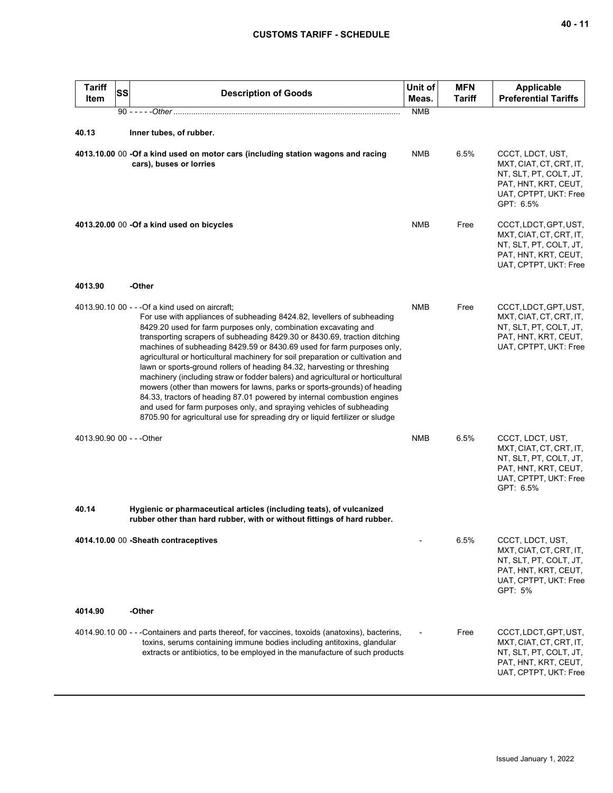| <b>Tariff</b><br><b>Item</b> | <b>SS</b> | <b>Description of Goods</b>                                                                                                                                                                                                                                                                                                                                                                                                                                                                                                                                                                                                                                                                                                                                                                                                                                                                                         | Unit of<br>Meas. | <b>MFN</b><br><b>Tariff</b> | <b>Applicable</b><br><b>Preferential Tariffs</b>                                                                                    |
|------------------------------|-----------|---------------------------------------------------------------------------------------------------------------------------------------------------------------------------------------------------------------------------------------------------------------------------------------------------------------------------------------------------------------------------------------------------------------------------------------------------------------------------------------------------------------------------------------------------------------------------------------------------------------------------------------------------------------------------------------------------------------------------------------------------------------------------------------------------------------------------------------------------------------------------------------------------------------------|------------------|-----------------------------|-------------------------------------------------------------------------------------------------------------------------------------|
|                              |           |                                                                                                                                                                                                                                                                                                                                                                                                                                                                                                                                                                                                                                                                                                                                                                                                                                                                                                                     | <b>NMB</b>       |                             |                                                                                                                                     |
| 40.13                        |           | Inner tubes, of rubber.                                                                                                                                                                                                                                                                                                                                                                                                                                                                                                                                                                                                                                                                                                                                                                                                                                                                                             |                  |                             |                                                                                                                                     |
|                              |           | 4013.10.00 00 -Of a kind used on motor cars (including station wagons and racing<br>cars), buses or lorries                                                                                                                                                                                                                                                                                                                                                                                                                                                                                                                                                                                                                                                                                                                                                                                                         | NMB              | 6.5%                        | CCCT, LDCT, UST,<br>MXT, CIAT, CT, CRT, IT,<br>NT, SLT, PT, COLT, JT,<br>PAT, HNT, KRT, CEUT,<br>UAT, CPTPT, UKT: Free<br>GPT: 6.5% |
|                              |           | 4013.20.00 00 -Of a kind used on bicycles                                                                                                                                                                                                                                                                                                                                                                                                                                                                                                                                                                                                                                                                                                                                                                                                                                                                           | <b>NMB</b>       | Free                        | CCCT, LDCT, GPT, UST,<br>MXT, CIAT, CT, CRT, IT,<br>NT, SLT, PT, COLT, JT,<br>PAT, HNT, KRT, CEUT,<br>UAT, CPTPT, UKT: Free         |
| 4013.90                      |           | -Other                                                                                                                                                                                                                                                                                                                                                                                                                                                                                                                                                                                                                                                                                                                                                                                                                                                                                                              |                  |                             |                                                                                                                                     |
|                              |           | 4013.90.10 00 - - - Of a kind used on aircraft;<br>For use with appliances of subheading 8424.82, levellers of subheading<br>8429.20 used for farm purposes only, combination excavating and<br>transporting scrapers of subheading 8429.30 or 8430.69, traction ditching<br>machines of subheading 8429.59 or 8430.69 used for farm purposes only,<br>agricultural or horticultural machinery for soil preparation or cultivation and<br>lawn or sports-ground rollers of heading 84.32, harvesting or threshing<br>machinery (including straw or fodder balers) and agricultural or horticultural<br>mowers (other than mowers for lawns, parks or sports-grounds) of heading<br>84.33, tractors of heading 87.01 powered by internal combustion engines<br>and used for farm purposes only, and spraying vehicles of subheading<br>8705.90 for agricultural use for spreading dry or liquid fertilizer or sludge | <b>NMB</b>       | Free                        | CCCT, LDCT, GPT, UST,<br>MXT, CIAT, CT, CRT, IT,<br>NT, SLT, PT, COLT, JT,<br>PAT, HNT, KRT, CEUT,<br>UAT, CPTPT, UKT: Free         |
| 4013.90.90 00 - - - Other    |           |                                                                                                                                                                                                                                                                                                                                                                                                                                                                                                                                                                                                                                                                                                                                                                                                                                                                                                                     | <b>NMB</b>       | 6.5%                        | CCCT, LDCT, UST,<br>MXT, CIAT, CT, CRT, IT,<br>NT, SLT, PT, COLT, JT,<br>PAT, HNT, KRT, CEUT,<br>UAT, CPTPT, UKT: Free<br>GPT: 6.5% |
| 40.14                        |           | Hygienic or pharmaceutical articles (including teats), of vulcanized<br>rubber other than hard rubber, with or without fittings of hard rubber.                                                                                                                                                                                                                                                                                                                                                                                                                                                                                                                                                                                                                                                                                                                                                                     |                  |                             |                                                                                                                                     |
|                              |           | 4014.10.00 00 - Sheath contraceptives                                                                                                                                                                                                                                                                                                                                                                                                                                                                                                                                                                                                                                                                                                                                                                                                                                                                               |                  | 6.5%                        | CCCT, LDCT, UST,<br>MXT, CIAT, CT, CRT, IT,<br>NT, SLT, PT, COLT, JT,<br>PAT, HNT, KRT, CEUT,<br>UAT, CPTPT, UKT: Free<br>GPT: 5%   |
| 4014.90                      |           | -Other                                                                                                                                                                                                                                                                                                                                                                                                                                                                                                                                                                                                                                                                                                                                                                                                                                                                                                              |                  |                             |                                                                                                                                     |
|                              |           | 4014.90.10 00 - - -Containers and parts thereof, for vaccines, toxoids (anatoxins), bacterins,<br>toxins, serums containing immune bodies including antitoxins, glandular<br>extracts or antibiotics, to be employed in the manufacture of such products                                                                                                                                                                                                                                                                                                                                                                                                                                                                                                                                                                                                                                                            |                  | Free                        | CCCT, LDCT, GPT, UST,<br>MXT, CIAT, CT, CRT, IT,<br>NT, SLT, PT, COLT, JT,<br>PAT, HNT, KRT, CEUT,<br>UAT, CPTPT, UKT: Free         |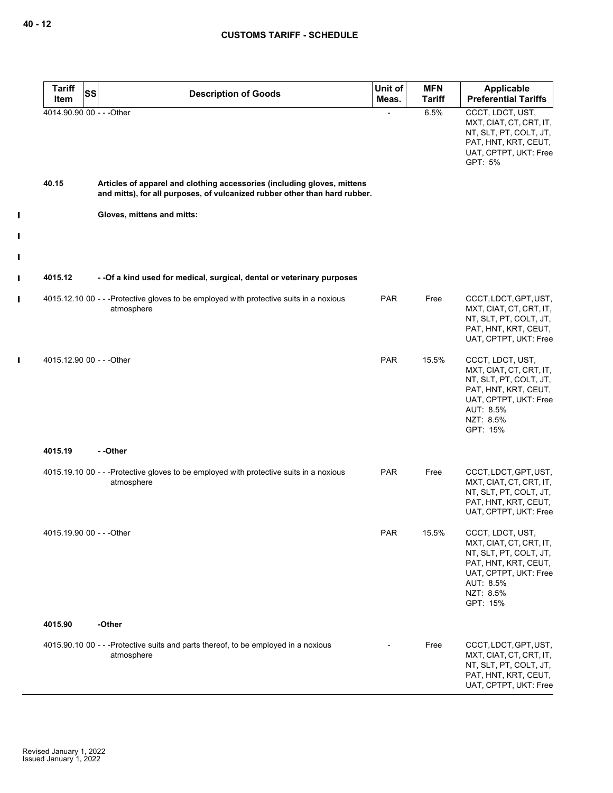$\mathbf{I}$ 

 $\mathbf{I}$ 

 $\mathbf{I}$ 

 $\mathbf{I}$ 

 $\mathbf{I}$ 

 $\mathbf I$ 

| <b>Tariff</b>             | <b>SS</b> | <b>Description of Goods</b>                                                                                                                           | Unit of    | <b>MFN</b>    | <b>Applicable</b>                                                                                                                                            |
|---------------------------|-----------|-------------------------------------------------------------------------------------------------------------------------------------------------------|------------|---------------|--------------------------------------------------------------------------------------------------------------------------------------------------------------|
| Item                      |           |                                                                                                                                                       | Meas.      | <b>Tariff</b> | <b>Preferential Tariffs</b>                                                                                                                                  |
| 4014.90.90 00 - - - Other |           |                                                                                                                                                       |            | 6.5%          | CCCT, LDCT, UST,<br>MXT, CIAT, CT, CRT, IT,<br>NT, SLT, PT, COLT, JT,<br>PAT, HNT, KRT, CEUT,<br>UAT, CPTPT, UKT: Free<br>GPT: 5%                            |
| 40.15                     |           | Articles of apparel and clothing accessories (including gloves, mittens<br>and mitts), for all purposes, of vulcanized rubber other than hard rubber. |            |               |                                                                                                                                                              |
|                           |           | Gloves, mittens and mitts:                                                                                                                            |            |               |                                                                                                                                                              |
|                           |           |                                                                                                                                                       |            |               |                                                                                                                                                              |
| 4015.12                   |           | -- Of a kind used for medical, surgical, dental or veterinary purposes                                                                                |            |               |                                                                                                                                                              |
|                           |           | 4015.12.10 00 - - -Protective gloves to be employed with protective suits in a noxious<br>atmosphere                                                  | <b>PAR</b> | Free          | CCCT, LDCT, GPT, UST,<br>MXT, CIAT, CT, CRT, IT,<br>NT, SLT, PT, COLT, JT,<br>PAT, HNT, KRT, CEUT,<br>UAT, CPTPT, UKT: Free                                  |
| 4015.12.90 00 - - - Other |           |                                                                                                                                                       | <b>PAR</b> | 15.5%         | CCCT, LDCT, UST,<br>MXT, CIAT, CT, CRT, IT,<br>NT, SLT, PT, COLT, JT,<br>PAT, HNT, KRT, CEUT,<br>UAT, CPTPT, UKT: Free<br>AUT: 8.5%<br>NZT: 8.5%<br>GPT: 15% |
| 4015.19                   |           | - -Other                                                                                                                                              |            |               |                                                                                                                                                              |
|                           |           | 4015.19.10 00 - - -Protective gloves to be employed with protective suits in a noxious<br>atmosphere                                                  | <b>PAR</b> | Free          | CCCT, LDCT, GPT, UST,<br>MXT, CIAT, CT, CRT, IT,<br>NT, SLT, PT, COLT, JT,<br>PAT, HNT, KRT, CEUT,<br>UAT, CPTPT, UKT: Free                                  |
| 4015.19.90 00 - - - Other |           |                                                                                                                                                       | <b>PAR</b> | 15.5%         | CCCT, LDCT, UST,<br>MXT, CIAT, CT, CRT, IT,<br>NT, SLT, PT, COLT, JT,<br>PAT, HNT, KRT, CEUT,<br>UAT, CPTPT, UKT: Free<br>AUT: 8.5%<br>NZT: 8.5%<br>GPT: 15% |
| 4015.90                   |           | -Other                                                                                                                                                |            |               |                                                                                                                                                              |
|                           |           | 4015.90.10 00 - - -Protective suits and parts thereof, to be employed in a noxious<br>atmosphere                                                      |            | Free          | CCCT, LDCT, GPT, UST,<br>MXT, CIAT, CT, CRT, IT,<br>NT, SLT, PT, COLT, JT,<br>PAT, HNT, KRT, CEUT,<br>UAT, CPTPT, UKT: Free                                  |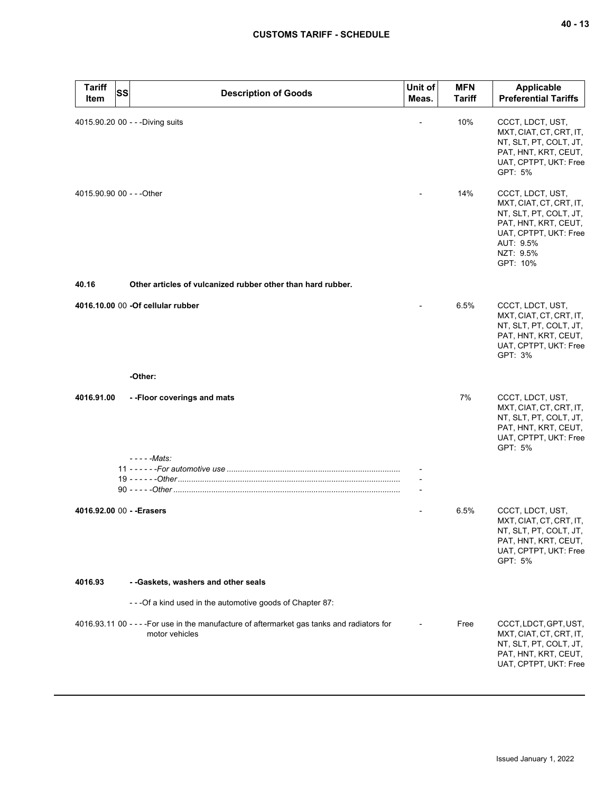| Tariff<br>Item            | <b>SS</b> | <b>Description of Goods</b>                                                                                   | Unit of<br>Meas. | <b>MFN</b><br><b>Tariff</b> | <b>Applicable</b><br><b>Preferential Tariffs</b>                                                                                                             |
|---------------------------|-----------|---------------------------------------------------------------------------------------------------------------|------------------|-----------------------------|--------------------------------------------------------------------------------------------------------------------------------------------------------------|
|                           |           | 4015.90.20 00 - - - Diving suits                                                                              |                  | 10%                         | CCCT, LDCT, UST,<br>MXT, CIAT, CT, CRT, IT,<br>NT, SLT, PT, COLT, JT,<br>PAT, HNT, KRT, CEUT,<br>UAT, CPTPT, UKT: Free<br>GPT: 5%                            |
| 4015.90.90 00 - - - Other |           |                                                                                                               |                  | 14%                         | CCCT, LDCT, UST,<br>MXT, CIAT, CT, CRT, IT,<br>NT, SLT, PT, COLT, JT,<br>PAT, HNT, KRT, CEUT,<br>UAT, CPTPT, UKT: Free<br>AUT: 9.5%<br>NZT: 9.5%<br>GPT: 10% |
| 40.16                     |           | Other articles of vulcanized rubber other than hard rubber.                                                   |                  |                             |                                                                                                                                                              |
|                           |           | 4016.10.00 00 - Of cellular rubber                                                                            |                  | 6.5%                        | CCCT, LDCT, UST,<br>MXT, CIAT, CT, CRT, IT,<br>NT, SLT, PT, COLT, JT,<br>PAT, HNT, KRT, CEUT,<br>UAT, CPTPT, UKT: Free<br>GPT: 3%                            |
|                           |           | -Other:                                                                                                       |                  |                             |                                                                                                                                                              |
| 4016.91.00                |           | --Floor coverings and mats<br>- - - - - Mats:                                                                 |                  | 7%                          | CCCT, LDCT, UST,<br>MXT, CIAT, CT, CRT, IT,<br>NT, SLT, PT, COLT, JT,<br>PAT, HNT, KRT, CEUT,<br>UAT, CPTPT, UKT: Free<br>GPT: 5%                            |
|                           |           |                                                                                                               |                  |                             |                                                                                                                                                              |
|                           |           |                                                                                                               |                  |                             |                                                                                                                                                              |
| 4016.92.00 00 - - Erasers |           |                                                                                                               |                  | 6.5%                        | CCCT, LDCT, UST,<br>MXT, CIAT, CT, CRT, IT,<br>NT, SLT, PT, COLT, JT,<br>PAT, HNT, KRT, CEUT,<br>UAT, CPTPT, UKT: Free<br>GPT: 5%                            |
| 4016.93                   |           | - - Gaskets, washers and other seals                                                                          |                  |                             |                                                                                                                                                              |
|                           |           | - - - Of a kind used in the automotive goods of Chapter 87:                                                   |                  |                             |                                                                                                                                                              |
|                           |           | 4016.93.11 00 - - - - For use in the manufacture of aftermarket gas tanks and radiators for<br>motor vehicles |                  | Free                        | CCCT, LDCT, GPT, UST,<br>MXT, CIAT, CT, CRT, IT,<br>NT, SLT, PT, COLT, JT,<br>PAT, HNT, KRT, CEUT,<br>UAT, CPTPT, UKT: Free                                  |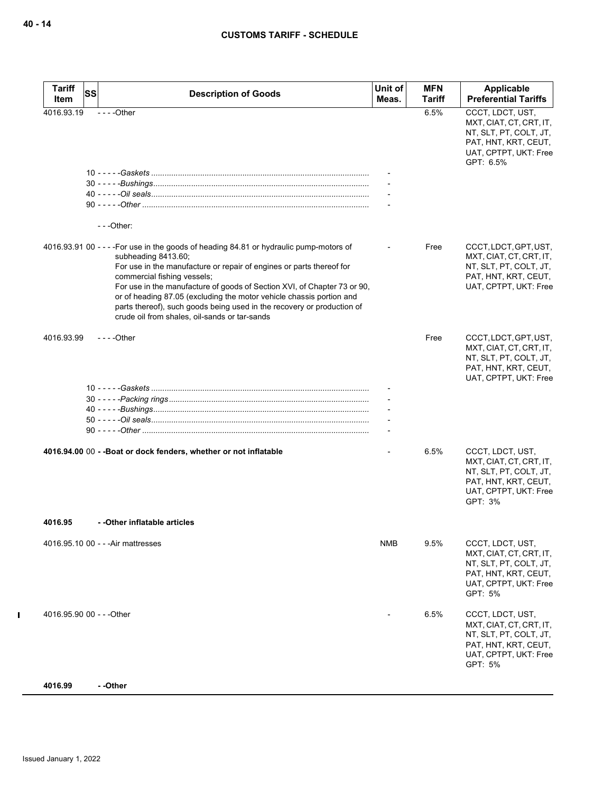| <b>Tariff</b><br>Item     | <b>SS</b> | <b>Description of Goods</b>                                                                                                                                                                                                                                                                                                                                                                                                                                                                          | Unit of<br>Meas. | <b>MFN</b><br>Tariff | Applicable<br><b>Preferential Tariffs</b>                                                                                           |
|---------------------------|-----------|------------------------------------------------------------------------------------------------------------------------------------------------------------------------------------------------------------------------------------------------------------------------------------------------------------------------------------------------------------------------------------------------------------------------------------------------------------------------------------------------------|------------------|----------------------|-------------------------------------------------------------------------------------------------------------------------------------|
| 4016.93.19                |           | $--$ Other                                                                                                                                                                                                                                                                                                                                                                                                                                                                                           |                  | 6.5%                 | CCCT, LDCT, UST,<br>MXT, CIAT, CT, CRT, IT,<br>NT, SLT, PT, COLT, JT,<br>PAT, HNT, KRT, CEUT,<br>UAT, CPTPT, UKT: Free<br>GPT: 6.5% |
|                           |           |                                                                                                                                                                                                                                                                                                                                                                                                                                                                                                      |                  |                      |                                                                                                                                     |
|                           |           | $--$ Other:                                                                                                                                                                                                                                                                                                                                                                                                                                                                                          |                  |                      |                                                                                                                                     |
|                           |           | 4016.93.91 00 - - - - For use in the goods of heading 84.81 or hydraulic pump-motors of<br>subheading 8413.60;<br>For use in the manufacture or repair of engines or parts thereof for<br>commercial fishing vessels;<br>For use in the manufacture of goods of Section XVI, of Chapter 73 or 90,<br>or of heading 87.05 (excluding the motor vehicle chassis portion and<br>parts thereof), such goods being used in the recovery or production of<br>crude oil from shales, oil-sands or tar-sands |                  | Free                 | CCCT, LDCT, GPT, UST,<br>MXT, CIAT, CT, CRT, IT,<br>NT, SLT, PT, COLT, JT,<br>PAT, HNT, KRT, CEUT,<br>UAT, CPTPT, UKT: Free         |
| 4016.93.99                |           | $--$ Other                                                                                                                                                                                                                                                                                                                                                                                                                                                                                           |                  | Free                 | CCCT, LDCT, GPT, UST,<br>MXT, CIAT, CT, CRT, IT,<br>NT, SLT, PT, COLT, JT,<br>PAT, HNT, KRT, CEUT,<br>UAT, CPTPT, UKT: Free         |
|                           |           |                                                                                                                                                                                                                                                                                                                                                                                                                                                                                                      |                  |                      |                                                                                                                                     |
|                           |           | 4016.94.00 00 - - Boat or dock fenders, whether or not inflatable                                                                                                                                                                                                                                                                                                                                                                                                                                    |                  | 6.5%                 | CCCT, LDCT, UST,<br>MXT, CIAT, CT, CRT, IT,<br>NT, SLT, PT, COLT, JT,<br>PAT, HNT, KRT, CEUT,<br>UAT, CPTPT, UKT: Free<br>GPT: 3%   |
| 4016.95                   |           | - - Other inflatable articles                                                                                                                                                                                                                                                                                                                                                                                                                                                                        |                  |                      |                                                                                                                                     |
|                           |           | 4016.95.10 00 - - - Air mattresses                                                                                                                                                                                                                                                                                                                                                                                                                                                                   | NMB              | 9.5%                 | CCCT, LDCT, UST,<br>MXT, CIAT, CT, CRT, IT,<br>NT, SLT, PT, COLT, JT,<br>PAT, HNT, KRT, CEUT,<br>UAT, CPTPT, UKT: Free<br>GPT: 5%   |
| 4016.95.90 00 - - - Other |           |                                                                                                                                                                                                                                                                                                                                                                                                                                                                                                      |                  | 6.5%                 | CCCT, LDCT, UST,<br>MXT, CIAT, CT, CRT, IT,<br>NT, SLT, PT, COLT, JT,<br>PAT, HNT, KRT, CEUT,<br>UAT, CPTPT, UKT: Free<br>GPT: 5%   |
| 4016.99                   |           | - -Other                                                                                                                                                                                                                                                                                                                                                                                                                                                                                             |                  |                      |                                                                                                                                     |

 $\mathbf{I}$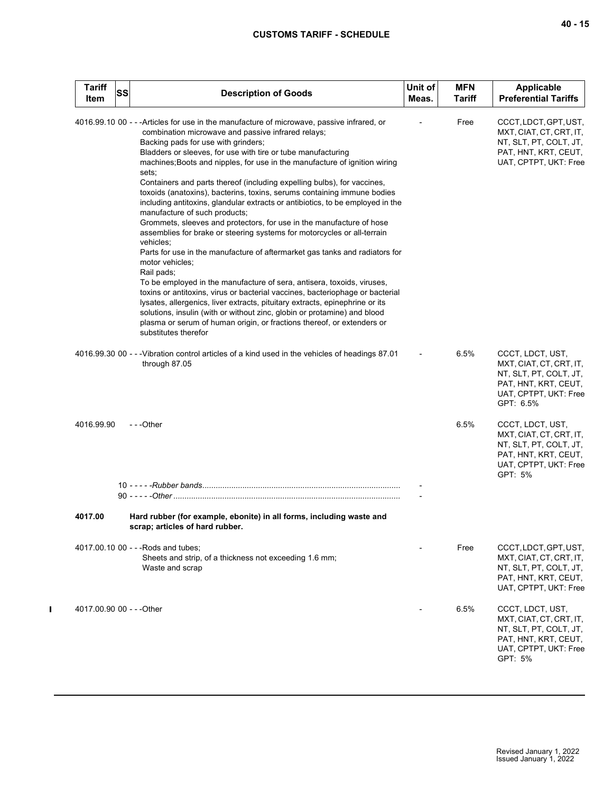| <b>Tariff</b><br>Item     | SS | <b>Description of Goods</b>                                                                                                                                                                                                                                                                                                                                                                                                                                                                                                                                                                                                                                                                                                                                                                                                                                                                                                                                                                                                                                                                                                                                                                                                                                                                                                      | Unit of<br>Meas. | <b>MFN</b><br><b>Tariff</b> | Applicable<br><b>Preferential Tariffs</b>                                                                                           |
|---------------------------|----|----------------------------------------------------------------------------------------------------------------------------------------------------------------------------------------------------------------------------------------------------------------------------------------------------------------------------------------------------------------------------------------------------------------------------------------------------------------------------------------------------------------------------------------------------------------------------------------------------------------------------------------------------------------------------------------------------------------------------------------------------------------------------------------------------------------------------------------------------------------------------------------------------------------------------------------------------------------------------------------------------------------------------------------------------------------------------------------------------------------------------------------------------------------------------------------------------------------------------------------------------------------------------------------------------------------------------------|------------------|-----------------------------|-------------------------------------------------------------------------------------------------------------------------------------|
|                           |    | 4016.99.10 00 - - - Articles for use in the manufacture of microwave, passive infrared, or<br>combination microwave and passive infrared relays;<br>Backing pads for use with grinders;<br>Bladders or sleeves, for use with tire or tube manufacturing<br>machines; Boots and nipples, for use in the manufacture of ignition wiring<br>sets;<br>Containers and parts thereof (including expelling bulbs), for vaccines,<br>toxoids (anatoxins), bacterins, toxins, serums containing immune bodies<br>including antitoxins, glandular extracts or antibiotics, to be employed in the<br>manufacture of such products;<br>Grommets, sleeves and protectors, for use in the manufacture of hose<br>assemblies for brake or steering systems for motorcycles or all-terrain<br>vehicles;<br>Parts for use in the manufacture of aftermarket gas tanks and radiators for<br>motor vehicles;<br>Rail pads;<br>To be employed in the manufacture of sera, antisera, toxoids, viruses,<br>toxins or antitoxins, virus or bacterial vaccines, bacteriophage or bacterial<br>lysates, allergenics, liver extracts, pituitary extracts, epinephrine or its<br>solutions, insulin (with or without zinc, globin or protamine) and blood<br>plasma or serum of human origin, or fractions thereof, or extenders or<br>substitutes therefor |                  | Free                        | CCCT, LDCT, GPT, UST,<br>MXT, CIAT, CT, CRT, IT,<br>NT, SLT, PT, COLT, JT,<br>PAT, HNT, KRT, CEUT,<br>UAT, CPTPT, UKT: Free         |
|                           |    | 4016.99.30 00 - - - Vibration control articles of a kind used in the vehicles of headings 87.01<br>through 87.05                                                                                                                                                                                                                                                                                                                                                                                                                                                                                                                                                                                                                                                                                                                                                                                                                                                                                                                                                                                                                                                                                                                                                                                                                 |                  | 6.5%                        | CCCT, LDCT, UST,<br>MXT, CIAT, CT, CRT, IT,<br>NT, SLT, PT, COLT, JT,<br>PAT, HNT, KRT, CEUT,<br>UAT, CPTPT, UKT: Free<br>GPT: 6.5% |
| 4016.99.90                |    | ---Other                                                                                                                                                                                                                                                                                                                                                                                                                                                                                                                                                                                                                                                                                                                                                                                                                                                                                                                                                                                                                                                                                                                                                                                                                                                                                                                         |                  | 6.5%                        | CCCT, LDCT, UST,<br>MXT, CIAT, CT, CRT, IT,<br>NT, SLT, PT, COLT, JT,<br>PAT, HNT, KRT, CEUT,<br>UAT, CPTPT, UKT: Free<br>GPT: 5%   |
|                           |    |                                                                                                                                                                                                                                                                                                                                                                                                                                                                                                                                                                                                                                                                                                                                                                                                                                                                                                                                                                                                                                                                                                                                                                                                                                                                                                                                  |                  |                             |                                                                                                                                     |
| 4017.00                   |    | Hard rubber (for example, ebonite) in all forms, including waste and<br>scrap; articles of hard rubber.                                                                                                                                                                                                                                                                                                                                                                                                                                                                                                                                                                                                                                                                                                                                                                                                                                                                                                                                                                                                                                                                                                                                                                                                                          |                  |                             |                                                                                                                                     |
|                           |    | 4017.00.10 00 - - - Rods and tubes;<br>Sheets and strip, of a thickness not exceeding 1.6 mm;<br>Waste and scrap                                                                                                                                                                                                                                                                                                                                                                                                                                                                                                                                                                                                                                                                                                                                                                                                                                                                                                                                                                                                                                                                                                                                                                                                                 |                  | Free                        | CCCT, LDCT, GPT, UST,<br>MXT, CIAT, CT, CRT, IT,<br>NT, SLT, PT, COLT, JT,<br>PAT, HNT, KRT, CEUT,<br>UAT, CPTPT, UKT: Free         |
| 4017.00.90 00 - - - Other |    |                                                                                                                                                                                                                                                                                                                                                                                                                                                                                                                                                                                                                                                                                                                                                                                                                                                                                                                                                                                                                                                                                                                                                                                                                                                                                                                                  |                  | 6.5%                        | CCCT, LDCT, UST,<br>MXT, CIAT, CT, CRT, IT,<br>NT, SLT, PT, COLT, JT,<br>PAT, HNT, KRT, CEUT,<br>UAT, CPTPT, UKT: Free<br>GPT: 5%   |

 $\mathbf{I}$